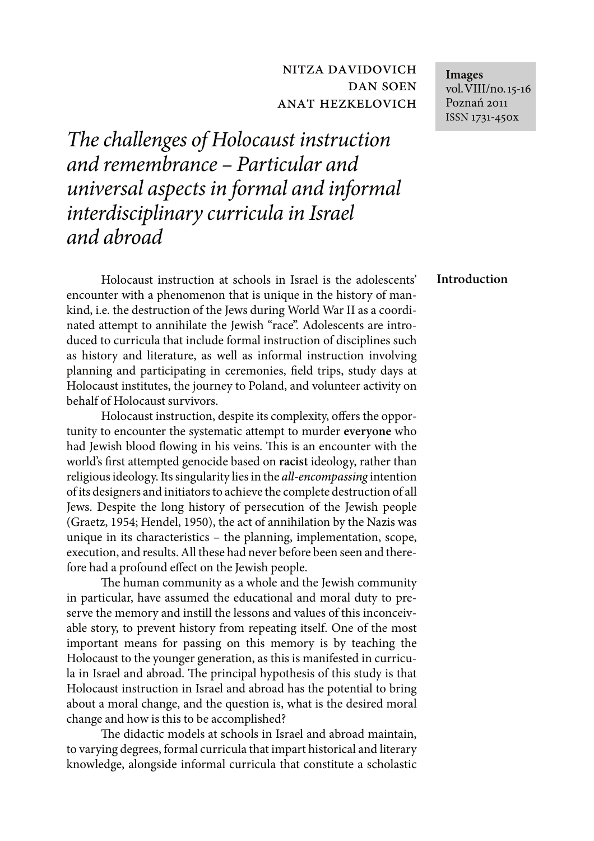# nitza davidovich dan soen anat hezkelovich

The challenges of Holocaust instruction and remembrance – Particular and universal aspects in formal and informal interdisciplinary curricula in Israel and abroad

Holocaust instruction at schools in Israel is the adolescents' encounter with a phenomenon that is unique in the history of mankind, i.e. the destruction of the Jews during World War II as a coordinated attempt to annihilate the Jewish "race". Adolescents are introduced to curricula that include formal instruction of disciplines such as history and literature, as well as informal instruction involving planning and participating in ceremonies, field trips, study days at Holocaust institutes, the journey to Poland, and volunteer activity on behalf of Holocaust survivors.

Holocaust instruction, despite its complexity, offers the opportunity to encounter the systematic attempt to murder **everyone** who had Jewish blood flowing in his veins. This is an encounter with the world's first attempted genocide based on racist ideology, rather than religious ideology. Its singularity lies in the all-encompassing intention of its designers and initiators to achieve the complete destruction of all Jews. Despite the long history of persecution of the Jewish people (Graetz, 1954; Hendel, 1950), the act of annihilation by the Nazis was unique in its characteristics – the planning, implementation, scope, execution, and results. All these had never before been seen and therefore had a profound effect on the Jewish people.

The human community as a whole and the Jewish community in particular, have assumed the educational and moral duty to preserve the memory and instill the lessons and values of this inconceivable story, to prevent history from repeating itself. One of the most important means for passing on this memory is by teaching the Holocaust to the younger generation, as this is manifested in curricula in Israel and abroad. The principal hypothesis of this study is that Holocaust instruction in Israel and abroad has the potential to bring about a moral change, and the question is, what is the desired moral change and how is this to be accomplished?

The didactic models at schools in Israel and abroad maintain, to varying degrees, formal curricula that impart historical and literary knowledge, alongside informal curricula that constitute a scholastic **Images** vol.VIII/no.15-16 Poznań 2011 ISSN 1731-450x

**Introduction**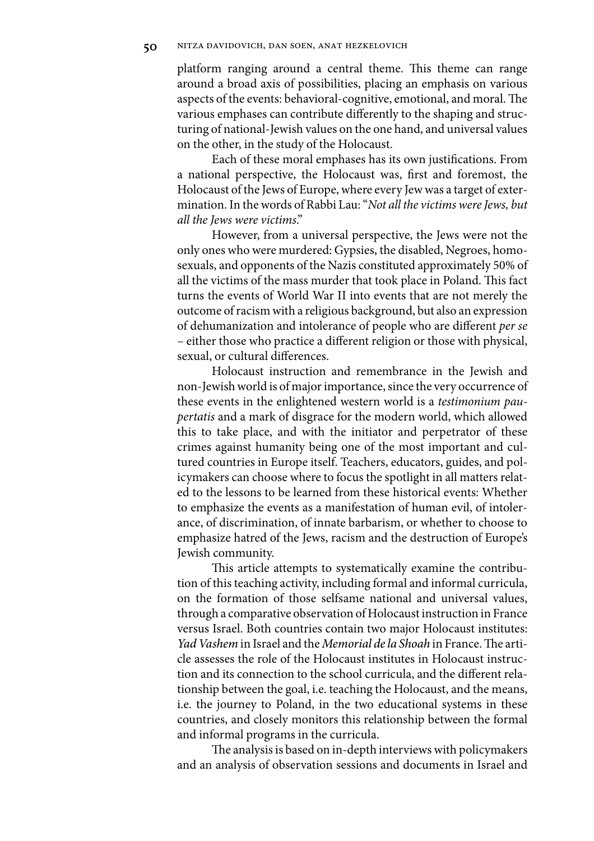platform ranging around a central theme. This theme can range around a broad axis of possibilities, placing an emphasis on various aspects of the events: behavioral-cognitive, emotional, and moral. The various emphases can contribute differently to the shaping and structuring of national-Jewish values on the one hand, and universal values on the other, in the study of the Holocaust.

Each of these moral emphases has its own justifications. From a national perspective, the Holocaust was, first and foremost, the Holocaust of the Jews of Europe, where every Jew was a target of extermination. In the words of Rabbi Lau: "Not all the victims were Jews, but all the Jews were victims."

However, from a universal perspective, the Jews were not the only ones who were murdered: Gypsies, the disabled, Negroes, homosexuals, and opponents of the Nazis constituted approximately 50% of all the victims of the mass murder that took place in Poland. This fact turns the events of World War II into events that are not merely the outcome of racism with a religious background, but also an expression of dehumanization and intolerance of people who are different per se – either those who practice a different religion or those with physical, sexual, or cultural differences.

Holocaust instruction and remembrance in the Jewish and non-Jewish world is of major importance, since the very occurrence of these events in the enlightened western world is a testimonium paupertatis and a mark of disgrace for the modern world, which allowed this to take place, and with the initiator and perpetrator of these crimes against humanity being one of the most important and cultured countries in Europe itself. Teachers, educators, guides, and policymakers can choose where to focus the spotlight in all matters related to the lessons to be learned from these historical events: Whether to emphasize the events as a manifestation of human evil, of intolerance, of discrimination, of innate barbarism, or whether to choose to emphasize hatred of the Jews, racism and the destruction of Europe's Jewish community.

This article attempts to systematically examine the contribution of this teaching activity, including formal and informal curricula, on the formation of those selfsame national and universal values, through a comparative observation of Holocaust instruction in France versus Israel. Both countries contain two major Holocaust institutes: Yad Vashem in Israel and the Memorial de la Shoah in France. The article assesses the role of the Holocaust institutes in Holocaust instruction and its connection to the school curricula, and the different relationship between the goal, i.e. teaching the Holocaust, and the means, i.e. the journey to Poland, in the two educational systems in these countries, and closely monitors this relationship between the formal and informal programs in the curricula.

The analysis is based on in-depth interviews with policymakers and an analysis of observation sessions and documents in Israel and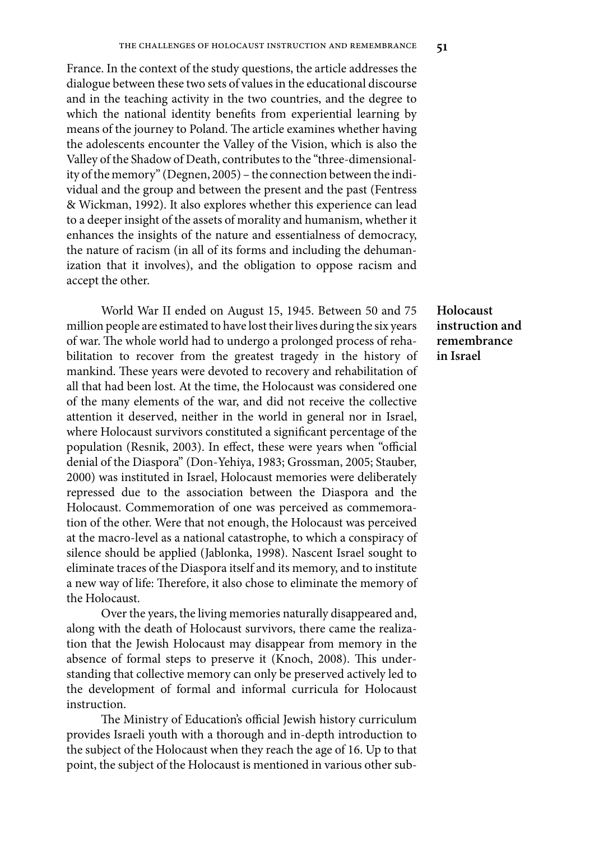France. In the context of the study questions, the article addresses the dialogue between these two sets of values in the educational discourse and in the teaching activity in the two countries, and the degree to which the national identity benefits from experiential learning by means of the journey to Poland. The article examines whether having the adolescents encounter the Valley of the Vision, which is also the Valley of the Shadow of Death, contributes to the "three-dimensionality of the memory" (Degnen, 2005) – the connection between the individual and the group and between the present and the past (Fentress & Wickman, 1992). It also explores whether this experience can lead to a deeper insight of the assets of morality and humanism, whether it enhances the insights of the nature and essentialness of democracy, the nature of racism (in all of its forms and including the dehumanization that it involves), and the obligation to oppose racism and accept the other.

World War II ended on August 15, 1945. Between 50 and 75 million people are estimated to have lost their lives during the six years of war. The whole world had to undergo a prolonged process of rehabilitation to recover from the greatest tragedy in the history of mankind. These years were devoted to recovery and rehabilitation of all that had been lost. At the time, the Holocaust was considered one of the many elements of the war, and did not receive the collective attention it deserved, neither in the world in general nor in Israel, where Holocaust survivors constituted a significant percentage of the population (Resnik, 2003). In effect, these were years when "official denial of the Diaspora" (Don-Yehiya, 1983; Grossman, 2005; Stauber, 2000) was instituted in Israel, Holocaust memories were deliberately repressed due to the association between the Diaspora and the Holocaust. Commemoration of one was perceived as commemoration of the other. Were that not enough, the Holocaust was perceived at the macro-level as a national catastrophe, to which a conspiracy of silence should be applied (Jablonka, 1998). Nascent Israel sought to eliminate traces of the Diaspora itself and its memory, and to institute a new way of life: Therefore, it also chose to eliminate the memory of the Holocaust.

Over the years, the living memories naturally disappeared and, along with the death of Holocaust survivors, there came the realization that the Jewish Holocaust may disappear from memory in the absence of formal steps to preserve it (Knoch, 2008). This understanding that collective memory can only be preserved actively led to the development of formal and informal curricula for Holocaust instruction.

The Ministry of Education's official Jewish history curriculum provides Israeli youth with a thorough and in-depth introduction to the subject of the Holocaust when they reach the age of 16. Up to that point, the subject of the Holocaust is mentioned in various other sub-

## **Holocaust instruction and remembrance in Israel**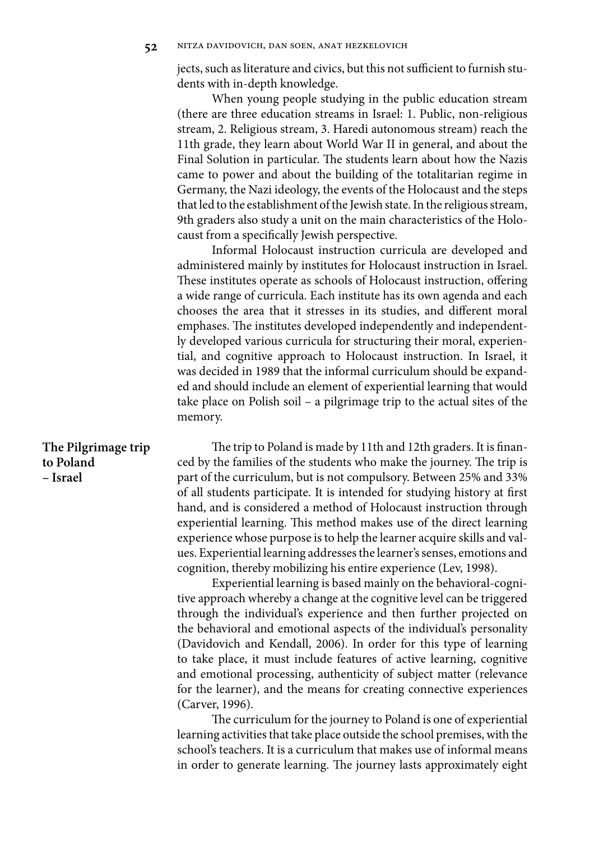jects, such as literature and civics, but this not sufficient to furnish students with in-depth knowledge.

When young people studying in the public education stream (there are three education streams in Israel: 1. Public, non-religious stream, 2. Religious stream, 3. Haredi autonomous stream) reach the 11th grade, they learn about World War II in general, and about the Final Solution in particular. The students learn about how the Nazis came to power and about the building of the totalitarian regime in Germany, the Nazi ideology, the events of the Holocaust and the steps that led to the establishment of the Jewish state. In the religious stream, 9th graders also study a unit on the main characteristics of the Holocaust from a specifically Jewish perspective.

Informal Holocaust instruction curricula are developed and administered mainly by institutes for Holocaust instruction in Israel. These institutes operate as schools of Holocaust instruction, offering a wide range of curricula. Each institute has its own agenda and each chooses the area that it stresses in its studies, and different moral emphases. The institutes developed independently and independently developed various curricula for structuring their moral, experiential, and cognitive approach to Holocaust instruction. In Israel, it was decided in 1989 that the informal curriculum should be expanded and should include an element of experiential learning that would take place on Polish soil – a pilgrimage trip to the actual sites of the memory.

The trip to Poland is made by 11th and 12th graders. It is financed by the families of the students who make the journey. The trip is part of the curriculum, but is not compulsory. Between 25% and 33% of all students participate. It is intended for studying history at first hand, and is considered a method of Holocaust instruction through experiential learning. This method makes use of the direct learning experience whose purpose is to help the learner acquire skills and values. Experiential learning addresses the learner's senses, emotions and cognition, thereby mobilizing his entire experience (Lev, 1998).

> Experiential learning is based mainly on the behavioral-cognitive approach whereby a change at the cognitive level can be triggered through the individual's experience and then further projected on the behavioral and emotional aspects of the individual's personality (Davidovich and Kendall, 2006). In order for this type of learning to take place, it must include features of active learning, cognitive and emotional processing, authenticity of subject matter (relevance for the learner), and the means for creating connective experiences (Carver, 1996).

> The curriculum for the journey to Poland is one of experiential learning activities that take place outside the school premises, with the school's teachers. It is a curriculum that makes use of informal means in order to generate learning. The journey lasts approximately eight

### **The Pilgrimage trip to Poland – Israel**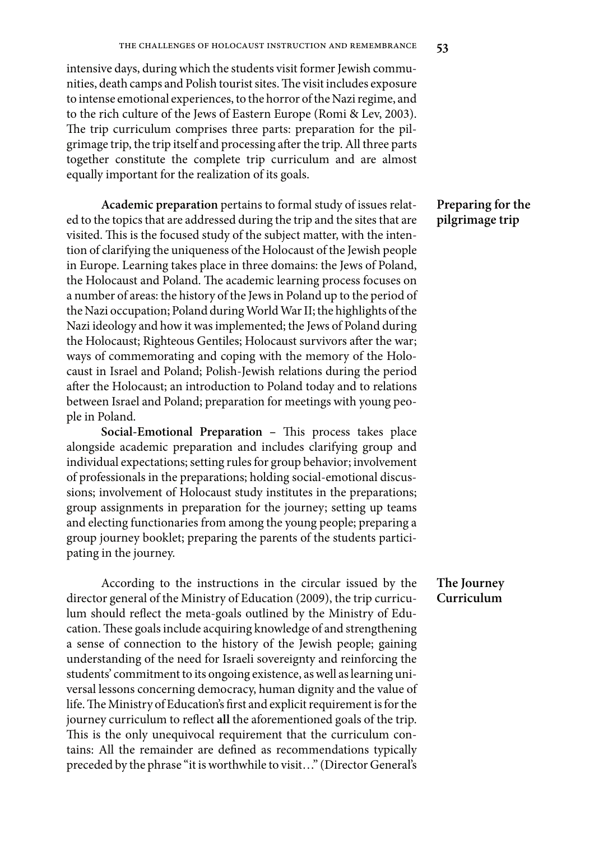intensive days, during which the students visit former Jewish communities, death camps and Polish tourist sites. The visit includes exposure to intense emotional experiences, to the horror of the Nazi regime, and to the rich culture of the Jews of Eastern Europe (Romi & Lev, 2003). The trip curriculum comprises three parts: preparation for the pilgrimage trip, the trip itself and processing after the trip. All three parts together constitute the complete trip curriculum and are almost equally important for the realization of its goals.

**Academic preparation** pertains to formal study of issues related to the topics that are addressed during the trip and the sites that are visited. This is the focused study of the subject matter, with the intention of clarifying the uniqueness of the Holocaust of the Jewish people in Europe. Learning takes place in three domains: the Jews of Poland, the Holocaust and Poland. The academic learning process focuses on a number of areas: the history of the Jews in Poland up to the period of the Nazi occupation; Poland during World War II; the highlights of the Nazi ideology and how it was implemented; the Jews of Poland during the Holocaust; Righteous Gentiles; Holocaust survivors after the war; ways of commemorating and coping with the memory of the Holocaust in Israel and Poland; Polish-Jewish relations during the period after the Holocaust; an introduction to Poland today and to relations between Israel and Poland; preparation for meetings with young people in Poland.

**Social-Emotional Preparation - This process takes place** alongside academic preparation and includes clarifying group and individual expectations; setting rules for group behavior; involvement of professionals in the preparations; holding social-emotional discussions; involvement of Holocaust study institutes in the preparations; group assignments in preparation for the journey; setting up teams and electing functionaries from among the young people; preparing a group journey booklet; preparing the parents of the students participating in the journey.

According to the instructions in the circular issued by the director general of the Ministry of Education (2009), the trip curriculum should reflect the meta-goals outlined by the Ministry of Education. These goals include acquiring knowledge of and strengthening a sense of connection to the history of the Jewish people; gaining understanding of the need for Israeli sovereignty and reinforcing the students' commitment to its ongoing existence, as well as learning universal lessons concerning democracy, human dignity and the value of life. The Ministry of Education's first and explicit requirement is for the journey curriculum to reflect all the aforementioned goals of the trip. This is the only unequivocal requirement that the curriculum contains: All the remainder are defined as recommendations typically preceded by the phrase "it is worthwhile to visit…" (Director General's

## **Preparing for the pilgrimage trip**

### **The Journey Curriculum**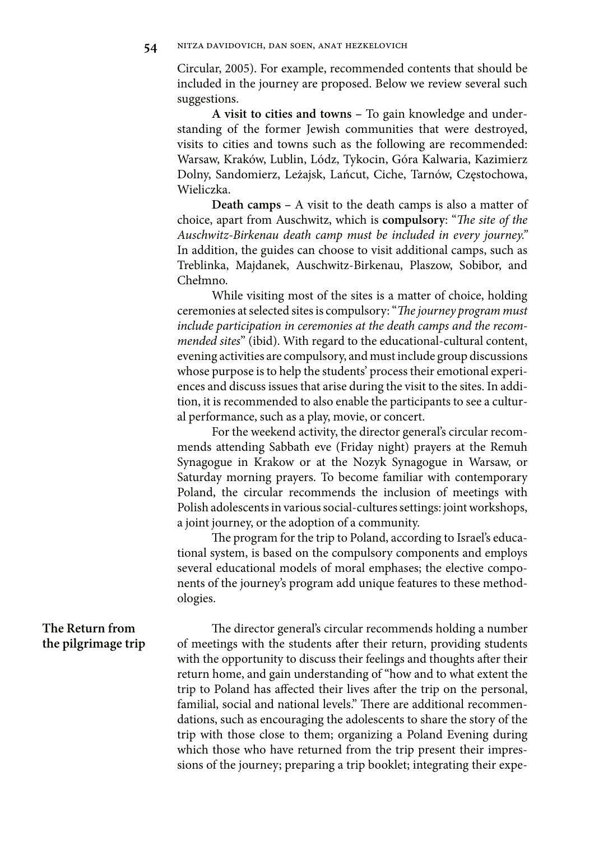Circular, 2005). For example, recommended contents that should be included in the journey are proposed. Below we review several such suggestions.

**A visit to cities and towns –** To gain knowledge and understanding of the former Jewish communities that were destroyed, visits to cities and towns such as the following are recommended: Warsaw, Kraków, Lublin, Lódz, Tykocin, Góra Kalwaria, Kazimierz Dolny, Sandomierz, Leżajsk, Lańcut, Ciche, Tarnów, Częstochowa, Wieliczka.

**Death camps –** A visit to the death camps is also a matter of choice, apart from Auschwitz, which is **compulsory**: "The site of the Auschwitz-Birkenau death camp must be included in every journey." In addition, the guides can choose to visit additional camps, such as Treblinka, Majdanek, Auschwitz-Birkenau, Plaszow, Sobibor, and Chełmno.

While visiting most of the sites is a matter of choice, holding ceremonies at selected sites is compulsory: "The journey program must include participation in ceremonies at the death camps and the recommended sites" (ibid). With regard to the educational-cultural content, evening activities are compulsory, and must include group discussions whose purpose is to help the students' process their emotional experiences and discuss issues that arise during the visit to the sites. In addition, it is recommended to also enable the participants to see a cultural performance, such as a play, movie, or concert.

For the weekend activity, the director general's circular recommends attending Sabbath eve (Friday night) prayers at the Remuh Synagogue in Krakow or at the Nozyk Synagogue in Warsaw, or Saturday morning prayers. To become familiar with contemporary Poland, the circular recommends the inclusion of meetings with Polish adolescents in various social-cultures settings: joint workshops, a joint journey, or the adoption of a community.

The program for the trip to Poland, according to Israel's educational system, is based on the compulsory components and employs several educational models of moral emphases; the elective components of the journey's program add unique features to these methodologies.

**The Return from the pilgrimage trip**

The director general's circular recommends holding a number of meetings with the students after their return, providing students with the opportunity to discuss their feelings and thoughts after their return home, and gain understanding of "how and to what extent the trip to Poland has affected their lives after the trip on the personal, familial, social and national levels." There are additional recommendations, such as encouraging the adolescents to share the story of the trip with those close to them; organizing a Poland Evening during which those who have returned from the trip present their impressions of the journey; preparing a trip booklet; integrating their expe-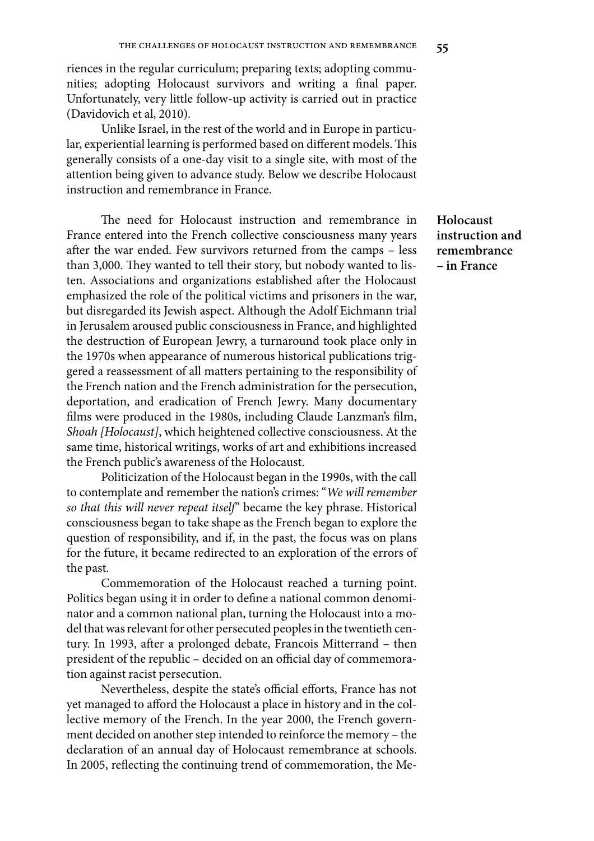riences in the regular curriculum; preparing texts; adopting communities; adopting Holocaust survivors and writing a final paper. Unfortunately, very little follow-up activity is carried out in practice (Davidovich et al, 2010).

Unlike Israel, in the rest of the world and in Europe in particular, experiential learning is performed based on different models. This generally consists of a one-day visit to a single site, with most of the attention being given to advance study. Below we describe Holocaust instruction and remembrance in France.

The need for Holocaust instruction and remembrance in France entered into the French collective consciousness many years after the war ended. Few survivors returned from the camps - less than 3,000. They wanted to tell their story, but nobody wanted to listen. Associations and organizations established after the Holocaust emphasized the role of the political victims and prisoners in the war, but disregarded its Jewish aspect. Although the Adolf Eichmann trial in Jerusalem aroused public consciousness in France, and highlighted the destruction of European Jewry, a turnaround took place only in the 1970s when appearance of numerous historical publications triggered a reassessment of all matters pertaining to the responsibility of the French nation and the French administration for the persecution, deportation, and eradication of French Jewry. Many documentary films were produced in the 1980s, including Claude Lanzman's film, Shoah [Holocaust], which heightened collective consciousness. At the same time, historical writings, works of art and exhibitions increased the French public's awareness of the Holocaust.

Politicization of the Holocaust began in the 1990s, with the call to contemplate and remember the nation's crimes: "We will remember so that this will never repeat itself" became the key phrase. Historical consciousness began to take shape as the French began to explore the question of responsibility, and if, in the past, the focus was on plans for the future, it became redirected to an exploration of the errors of the past.

Commemoration of the Holocaust reached a turning point. Politics began using it in order to define a national common denominator and a common national plan, turning the Holocaust into a model that was relevant for other persecuted peoples in the twentieth century. In 1993, after a prolonged debate, Francois Mitterrand - then president of the republic - decided on an official day of commemoration against racist persecution.

Nevertheless, despite the state's official efforts, France has not yet managed to afford the Holocaust a place in history and in the collective memory of the French. In the year 2000, the French government decided on another step intended to reinforce the memory – the declaration of an annual day of Holocaust remembrance at schools. In 2005, reflecting the continuing trend of commemoration, the Me**Holocaust instruction and remembrance – in France**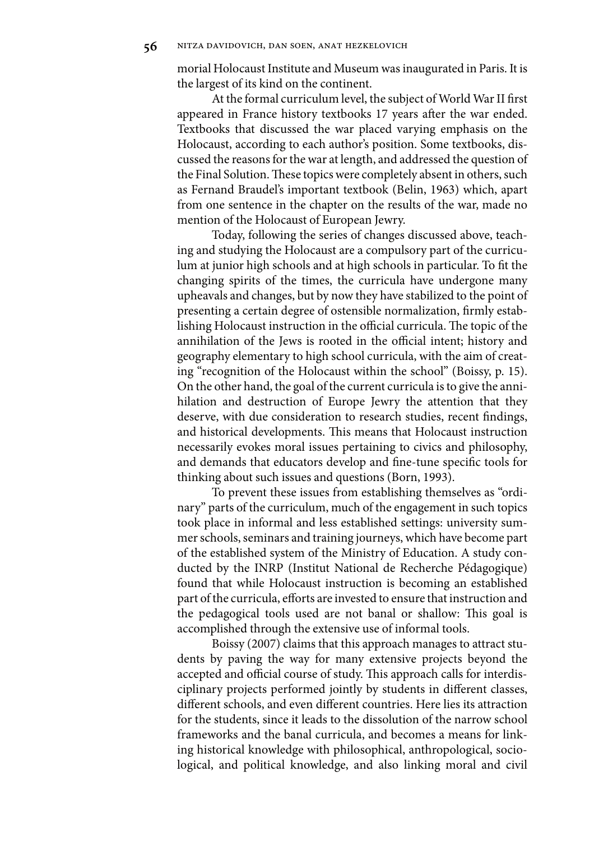morial Holocaust Institute and Museum was inaugurated in Paris. It is the largest of its kind on the continent.

At the formal curriculum level, the subject of World War II first appeared in France history textbooks 17 years after the war ended. Textbooks that discussed the war placed varying emphasis on the Holocaust, according to each author's position. Some textbooks, discussed the reasons for the war at length, and addressed the question of the Final Solution. These topics were completely absent in others, such as Fernand Braudel's important textbook (Belin, 1963) which, apart from one sentence in the chapter on the results of the war, made no mention of the Holocaust of European Jewry.

Today, following the series of changes discussed above, teaching and studying the Holocaust are a compulsory part of the curriculum at junior high schools and at high schools in particular. To fit the changing spirits of the times, the curricula have undergone many upheavals and changes, but by now they have stabilized to the point of presenting a certain degree of ostensible normalization, firmly establishing Holocaust instruction in the official curricula. The topic of the annihilation of the Jews is rooted in the official intent; history and geography elementary to high school curricula, with the aim of creating "recognition of the Holocaust within the school" (Boissy, p. 15). On the other hand, the goal of the current curricula is to give the annihilation and destruction of Europe Jewry the attention that they deserve, with due consideration to research studies, recent findings, and historical developments. This means that Holocaust instruction necessarily evokes moral issues pertaining to civics and philosophy, and demands that educators develop and fine-tune specific tools for thinking about such issues and questions (Born, 1993).

To prevent these issues from establishing themselves as "ordinary" parts of the curriculum, much of the engagement in such topics took place in informal and less established settings: university summer schools, seminars and training journeys, which have become part of the established system of the Ministry of Education. A study conducted by the INRP (Institut National de Recherche Pédagogique) found that while Holocaust instruction is becoming an established part of the curricula, efforts are invested to ensure that instruction and the pedagogical tools used are not banal or shallow: This goal is accomplished through the extensive use of informal tools.

Boissy (2007) claims that this approach manages to attract students by paving the way for many extensive projects beyond the accepted and official course of study. This approach calls for interdisciplinary projects performed jointly by students in different classes, different schools, and even different countries. Here lies its attraction for the students, since it leads to the dissolution of the narrow school frameworks and the banal curricula, and becomes a means for linking historical knowledge with philosophical, anthropological, sociological, and political knowledge, and also linking moral and civil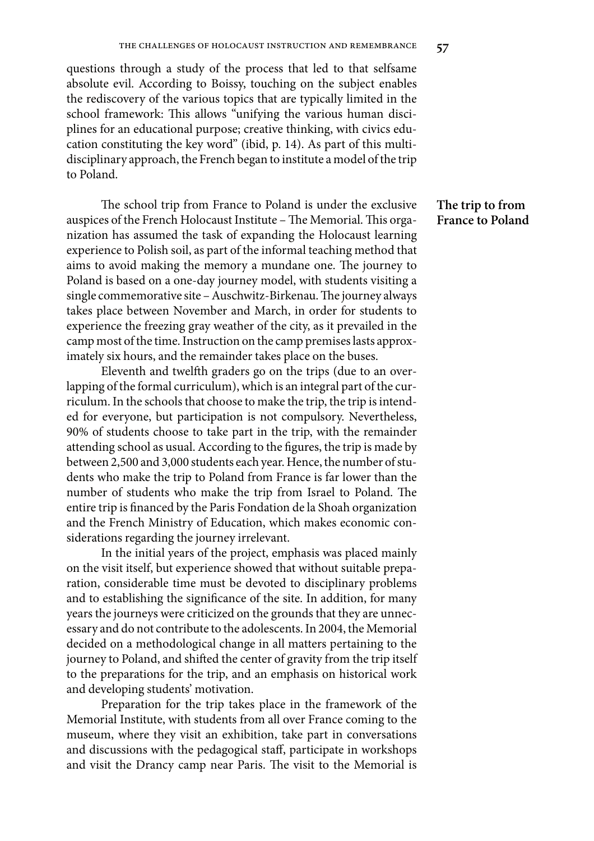questions through a study of the process that led to that selfsame absolute evil. According to Boissy, touching on the subject enables the rediscovery of the various topics that are typically limited in the school framework: This allows "unifying the various human disciplines for an educational purpose; creative thinking, with civics education constituting the key word" (ibid, p. 14). As part of this multidisciplinary approach, the French began to institute a model of the trip to Poland.

The school trip from France to Poland is under the exclusive auspices of the French Holocaust Institute - The Memorial. This organization has assumed the task of expanding the Holocaust learning experience to Polish soil, as part of the informal teaching method that aims to avoid making the memory a mundane one. The journey to Poland is based on a one-day journey model, with students visiting a single commemorative site – Auschwitz-Birkenau. The journey always takes place between November and March, in order for students to experience the freezing gray weather of the city, as it prevailed in the camp most of the time. Instruction on the camp premises lasts approximately six hours, and the remainder takes place on the buses.

Eleventh and twelfth graders go on the trips (due to an overlapping of the formal curriculum), which is an integral part of the curriculum. In the schools that choose to make the trip, the trip is intended for everyone, but participation is not compulsory. Nevertheless, 90% of students choose to take part in the trip, with the remainder attending school as usual. According to the figures, the trip is made by between 2,500 and 3,000 students each year. Hence, the number of students who make the trip to Poland from France is far lower than the number of students who make the trip from Israel to Poland. The entire trip is financed by the Paris Fondation de la Shoah organization and the French Ministry of Education, which makes economic considerations regarding the journey irrelevant.

In the initial years of the project, emphasis was placed mainly on the visit itself, but experience showed that without suitable preparation, considerable time must be devoted to disciplinary problems and to establishing the significance of the site. In addition, for many years the journeys were criticized on the grounds that they are unnecessary and do not contribute to the adolescents. In 2004, the Memorial decided on a methodological change in all matters pertaining to the journey to Poland, and shifted the center of gravity from the trip itself to the preparations for the trip, and an emphasis on historical work and developing students' motivation.

Preparation for the trip takes place in the framework of the Memorial Institute, with students from all over France coming to the museum, where they visit an exhibition, take part in conversations and discussions with the pedagogical staff, participate in workshops and visit the Drancy camp near Paris. The visit to the Memorial is

## **The trip to from France to Poland**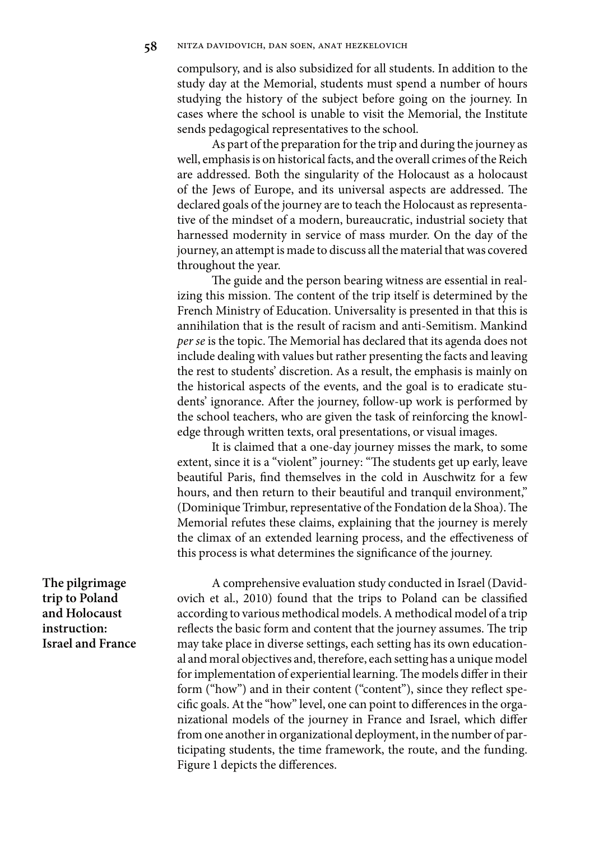compulsory, and is also subsidized for all students. In addition to the study day at the Memorial, students must spend a number of hours studying the history of the subject before going on the journey. In cases where the school is unable to visit the Memorial, the Institute sends pedagogical representatives to the school.

As part of the preparation for the trip and during the journey as well, emphasis is on historical facts, and the overall crimes of the Reich are addressed. Both the singularity of the Holocaust as a holocaust of the Jews of Europe, and its universal aspects are addressed. The declared goals of the journey are to teach the Holocaust as representative of the mindset of a modern, bureaucratic, industrial society that harnessed modernity in service of mass murder. On the day of the journey, an attempt is made to discuss all the material that was covered throughout the year.

The guide and the person bearing witness are essential in realizing this mission. The content of the trip itself is determined by the French Ministry of Education. Universality is presented in that this is annihilation that is the result of racism and anti-Semitism. Mankind per se is the topic. The Memorial has declared that its agenda does not include dealing with values but rather presenting the facts and leaving the rest to students' discretion. As a result, the emphasis is mainly on the historical aspects of the events, and the goal is to eradicate students' ignorance. After the journey, follow-up work is performed by the school teachers, who are given the task of reinforcing the knowledge through written texts, oral presentations, or visual images.

It is claimed that a one-day journey misses the mark, to some extent, since it is a "violent" journey: "The students get up early, leave beautiful Paris, find themselves in the cold in Auschwitz for a few hours, and then return to their beautiful and tranquil environment," (Dominique Trimbur, representative of the Fondation de la Shoa). The Memorial refutes these claims, explaining that the journey is merely the climax of an extended learning process, and the effectiveness of this process is what determines the significance of the journey.

**The pilgrimage trip to Poland and Holocaust instruction: Israel and France** 

A comprehensive evaluation study conducted in Israel (Davidovich et al., 2010) found that the trips to Poland can be classified according to various methodical models. A methodical model of a trip reflects the basic form and content that the journey assumes. The trip may take place in diverse settings, each setting has its own educational and moral objectives and, therefore, each setting has a unique model for implementation of experiential learning. The models differ in their form ("how") and in their content ("content"), since they reflect specific goals. At the "how" level, one can point to differences in the organizational models of the journey in France and Israel, which differ from one another in organizational deployment, in the number of participating students, the time framework, the route, and the funding. Figure 1 depicts the differences.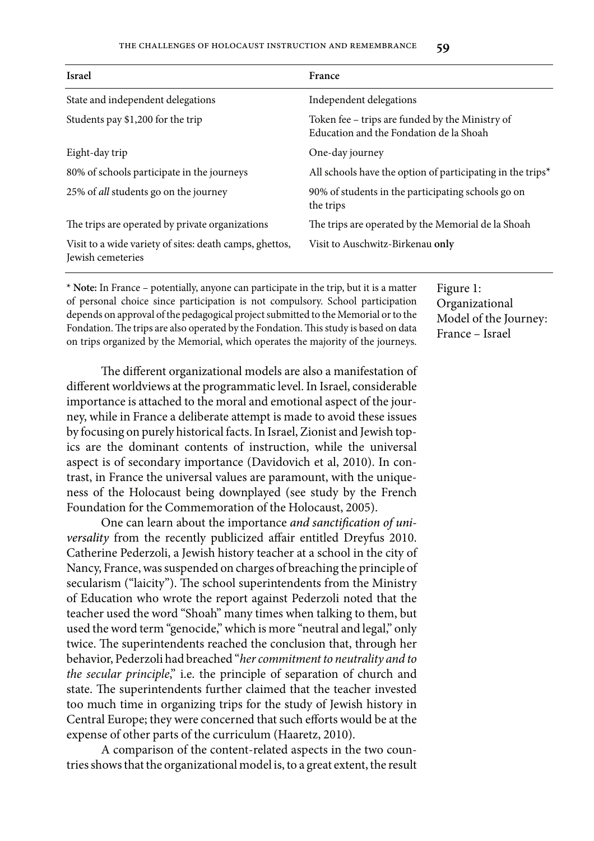#### the challenges of holocaust instruction and remembrance **59**

| <b>Israel</b>                                                                | France                                                                                     |  |
|------------------------------------------------------------------------------|--------------------------------------------------------------------------------------------|--|
| State and independent delegations                                            | Independent delegations                                                                    |  |
| Students pay \$1,200 for the trip                                            | Token fee – trips are funded by the Ministry of<br>Education and the Fondation de la Shoah |  |
| Eight-day trip                                                               | One-day journey                                                                            |  |
| 80% of schools participate in the journeys                                   | All schools have the option of participating in the trips <sup>*</sup>                     |  |
| 25% of <i>all</i> students go on the journey                                 | 90% of students in the participating schools go on<br>the trips                            |  |
| The trips are operated by private organizations                              | The trips are operated by the Memorial de la Shoah                                         |  |
| Visit to a wide variety of sites: death camps, ghettos,<br>Jewish cemeteries | Visit to Auschwitz-Birkenau only                                                           |  |

**\* Note:** In France – potentially, anyone can participate in the trip, but it is a matter of personal choice since participation is not compulsory. School participation depends on approval of the pedagogical project submitted to the Memorial or to the Fondation. The trips are also operated by the Fondation. This study is based on data on trips organized by the Memorial, which operates the majority of the journeys.

Figure 1: Organizational Model of the Journey: France – Israel

The different organizational models are also a manifestation of different worldviews at the programmatic level. In Israel, considerable importance is attached to the moral and emotional aspect of the journey, while in France a deliberate attempt is made to avoid these issues by focusing on purely historical facts. In Israel, Zionist and Jewish topics are the dominant contents of instruction, while the universal aspect is of secondary importance (Davidovich et al, 2010). In contrast, in France the universal values are paramount, with the uniqueness of the Holocaust being downplayed (see study by the French Foundation for the Commemoration of the Holocaust, 2005).

One can learn about the importance and sanctification of universality from the recently publicized affair entitled Dreyfus 2010. Catherine Pederzoli, a Jewish history teacher at a school in the city of Nancy, France, was suspended on charges of breaching the principle of secularism ("laicity"). The school superintendents from the Ministry of Education who wrote the report against Pederzoli noted that the teacher used the word "Shoah" many times when talking to them, but used the word term "genocide," which is more "neutral and legal," only twice. The superintendents reached the conclusion that, through her behavior, Pederzoli had breached "her commitment to neutrality and to the secular principle," i.e. the principle of separation of church and state. The superintendents further claimed that the teacher invested too much time in organizing trips for the study of Jewish history in Central Europe; they were concerned that such efforts would be at the expense of other parts of the curriculum (Haaretz, 2010).

A comparison of the content-related aspects in the two countries shows that the organizational model is, to a great extent, the result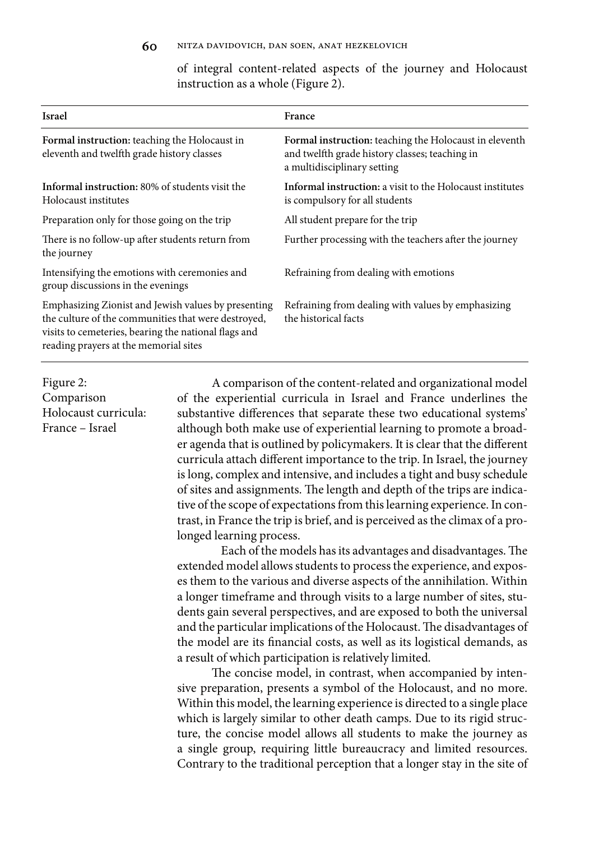of integral content-related aspects of the journey and Holocaust instruction as a whole (Figure 2).

| <b>Israel</b>                                                                                                                                                                                               | France                                                                                                                                  |  |
|-------------------------------------------------------------------------------------------------------------------------------------------------------------------------------------------------------------|-----------------------------------------------------------------------------------------------------------------------------------------|--|
| Formal instruction: teaching the Holocaust in<br>eleventh and twelfth grade history classes                                                                                                                 | Formal instruction: teaching the Holocaust in eleventh<br>and twelfth grade history classes; teaching in<br>a multidisciplinary setting |  |
| Informal instruction: 80% of students visit the<br>Holocaust institutes                                                                                                                                     | Informal instruction: a visit to the Holocaust institutes<br>is compulsory for all students                                             |  |
| Preparation only for those going on the trip                                                                                                                                                                | All student prepare for the trip                                                                                                        |  |
| There is no follow-up after students return from<br>the journey                                                                                                                                             | Further processing with the teachers after the journey                                                                                  |  |
| Intensifying the emotions with ceremonies and<br>group discussions in the evenings                                                                                                                          | Refraining from dealing with emotions                                                                                                   |  |
| Emphasizing Zionist and Jewish values by presenting<br>the culture of the communities that were destroyed,<br>visits to cemeteries, bearing the national flags and<br>reading prayers at the memorial sites | Refraining from dealing with values by emphasizing<br>the historical facts                                                              |  |

Figure 2: Comparison Holocaust curricula: France – Israel

A comparison of the content-related and organizational model of the experiential curricula in Israel and France underlines the substantive differences that separate these two educational systems' although both make use of experiential learning to promote a broader agenda that is outlined by policymakers. It is clear that the different curricula attach different importance to the trip. In Israel, the journey is long, complex and intensive, and includes a tight and busy schedule of sites and assignments. The length and depth of the trips are indicative of the scope of expectations from this learning experience. In contrast, in France the trip is brief, and is perceived as the climax of a prolonged learning process.

Each of the models has its advantages and disadvantages. The extended model allows students to process the experience, and exposes them to the various and diverse aspects of the annihilation. Within a longer timeframe and through visits to a large number of sites, students gain several perspectives, and are exposed to both the universal and the particular implications of the Holocaust. The disadvantages of the model are its financial costs, as well as its logistical demands, as a result of which participation is relatively limited.

The concise model, in contrast, when accompanied by intensive preparation, presents a symbol of the Holocaust, and no more. Within this model, the learning experience is directed to a single place which is largely similar to other death camps. Due to its rigid structure, the concise model allows all students to make the journey as a single group, requiring little bureaucracy and limited resources. Contrary to the traditional perception that a longer stay in the site of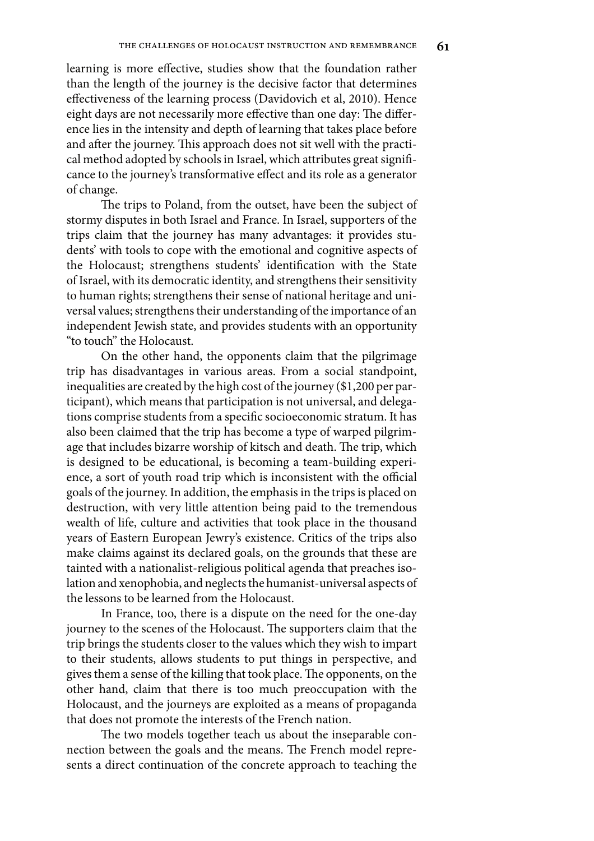learning is more effective, studies show that the foundation rather than the length of the journey is the decisive factor that determines effectiveness of the learning process (Davidovich et al, 2010). Hence eight days are not necessarily more effective than one day: The difference lies in the intensity and depth of learning that takes place before and after the journey. This approach does not sit well with the practical method adopted by schools in Israel, which attributes great significance to the journey's transformative effect and its role as a generator of change.

The trips to Poland, from the outset, have been the subject of stormy disputes in both Israel and France. In Israel, supporters of the trips claim that the journey has many advantages: it provides students' with tools to cope with the emotional and cognitive aspects of the Holocaust; strengthens students' identification with the State of Israel, with its democratic identity, and strengthens their sensitivity to human rights; strengthens their sense of national heritage and universal values; strengthens their understanding of the importance of an independent Jewish state, and provides students with an opportunity "to touch" the Holocaust.

On the other hand, the opponents claim that the pilgrimage trip has disadvantages in various areas. From a social standpoint, inequalities are created by the high cost of the journey (\$1,200 per participant), which means that participation is not universal, and delegations comprise students from a specific socioeconomic stratum. It has also been claimed that the trip has become a type of warped pilgrimage that includes bizarre worship of kitsch and death. The trip, which is designed to be educational, is becoming a team-building experience, a sort of youth road trip which is inconsistent with the official goals of the journey. In addition, the emphasis in the trips is placed on destruction, with very little attention being paid to the tremendous wealth of life, culture and activities that took place in the thousand years of Eastern European Jewry's existence. Critics of the trips also make claims against its declared goals, on the grounds that these are tainted with a nationalist-religious political agenda that preaches isolation and xenophobia, and neglects the humanist-universal aspects of the lessons to be learned from the Holocaust.

In France, too, there is a dispute on the need for the one-day journey to the scenes of the Holocaust. The supporters claim that the trip brings the students closer to the values which they wish to impart to their students, allows students to put things in perspective, and gives them a sense of the killing that took place. The opponents, on the other hand, claim that there is too much preoccupation with the Holocaust, and the journeys are exploited as a means of propaganda that does not promote the interests of the French nation.

The two models together teach us about the inseparable connection between the goals and the means. The French model represents a direct continuation of the concrete approach to teaching the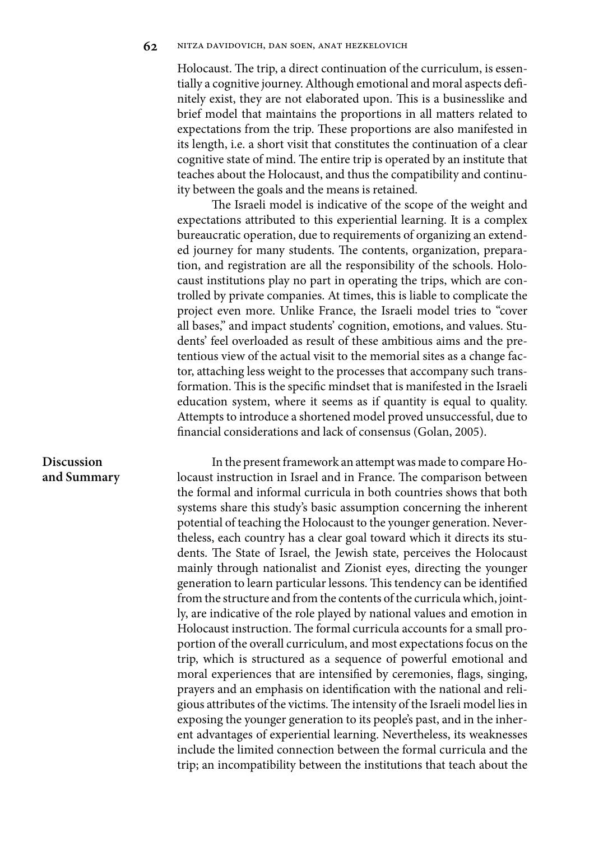Holocaust. The trip, a direct continuation of the curriculum, is essentially a cognitive journey. Although emotional and moral aspects definitely exist, they are not elaborated upon. This is a businesslike and brief model that maintains the proportions in all matters related to expectations from the trip. These proportions are also manifested in its length, i.e. a short visit that constitutes the continuation of a clear cognitive state of mind. The entire trip is operated by an institute that teaches about the Holocaust, and thus the compatibility and continuity between the goals and the means is retained.

The Israeli model is indicative of the scope of the weight and expectations attributed to this experiential learning. It is a complex bureaucratic operation, due to requirements of organizing an extended journey for many students. The contents, organization, preparation, and registration are all the responsibility of the schools. Holocaust institutions play no part in operating the trips, which are controlled by private companies. At times, this is liable to complicate the project even more. Unlike France, the Israeli model tries to "cover all bases," and impact students' cognition, emotions, and values. Students' feel overloaded as result of these ambitious aims and the pretentious view of the actual visit to the memorial sites as a change factor, attaching less weight to the processes that accompany such transformation. This is the specific mindset that is manifested in the Israeli education system, where it seems as if quantity is equal to quality. Attempts to introduce a shortened model proved unsuccessful, due to financial considerations and lack of consensus (Golan, 2005).

## **Discussion and Summary**

In the present framework an attempt was made to compare Holocaust instruction in Israel and in France. The comparison between the formal and informal curricula in both countries shows that both systems share this study's basic assumption concerning the inherent potential of teaching the Holocaust to the younger generation. Nevertheless, each country has a clear goal toward which it directs its students. The State of Israel, the Jewish state, perceives the Holocaust mainly through nationalist and Zionist eyes, directing the younger generation to learn particular lessons. This tendency can be identified from the structure and from the contents of the curricula which, jointly, are indicative of the role played by national values and emotion in Holocaust instruction. The formal curricula accounts for a small proportion of the overall curriculum, and most expectations focus on the trip, which is structured as a sequence of powerful emotional and moral experiences that are intensified by ceremonies, flags, singing, prayers and an emphasis on identification with the national and religious attributes of the victims. The intensity of the Israeli model lies in exposing the younger generation to its people's past, and in the inherent advantages of experiential learning. Nevertheless, its weaknesses include the limited connection between the formal curricula and the trip; an incompatibility between the institutions that teach about the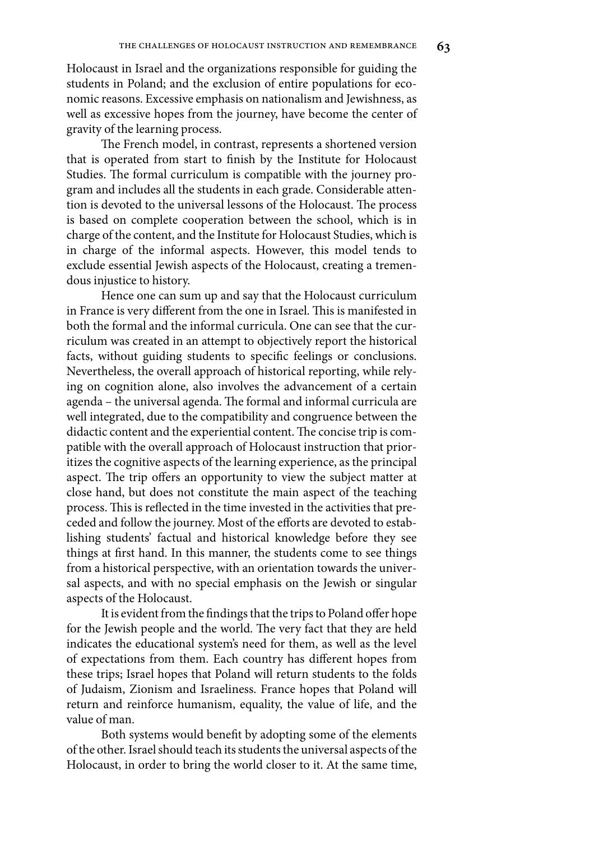Holocaust in Israel and the organizations responsible for guiding the students in Poland; and the exclusion of entire populations for economic reasons. Excessive emphasis on nationalism and Jewishness, as well as excessive hopes from the journey, have become the center of gravity of the learning process.

The French model, in contrast, represents a shortened version that is operated from start to finish by the Institute for Holocaust Studies. The formal curriculum is compatible with the journey program and includes all the students in each grade. Considerable attention is devoted to the universal lessons of the Holocaust. The process is based on complete cooperation between the school, which is in charge of the content, and the Institute for Holocaust Studies, which is in charge of the informal aspects. However, this model tends to exclude essential Jewish aspects of the Holocaust, creating a tremendous injustice to history.

Hence one can sum up and say that the Holocaust curriculum in France is very different from the one in Israel. This is manifested in both the formal and the informal curricula. One can see that the curriculum was created in an attempt to objectively report the historical facts, without guiding students to specific feelings or conclusions. Nevertheless, the overall approach of historical reporting, while relying on cognition alone, also involves the advancement of a certain agenda – the universal agenda. The formal and informal curricula are well integrated, due to the compatibility and congruence between the didactic content and the experiential content. The concise trip is compatible with the overall approach of Holocaust instruction that prioritizes the cognitive aspects of the learning experience, as the principal aspect. The trip offers an opportunity to view the subject matter at close hand, but does not constitute the main aspect of the teaching process. This is reflected in the time invested in the activities that preceded and follow the journey. Most of the efforts are devoted to establishing students' factual and historical knowledge before they see things at first hand. In this manner, the students come to see things from a historical perspective, with an orientation towards the universal aspects, and with no special emphasis on the Jewish or singular aspects of the Holocaust.

It is evident from the findings that the trips to Poland offer hope for the Jewish people and the world. The very fact that they are held indicates the educational system's need for them, as well as the level of expectations from them. Each country has different hopes from these trips; Israel hopes that Poland will return students to the folds of Judaism, Zionism and Israeliness. France hopes that Poland will return and reinforce humanism, equality, the value of life, and the value of man.

Both systems would benefit by adopting some of the elements of the other. Israel should teach its students the universal aspects of the Holocaust, in order to bring the world closer to it. At the same time,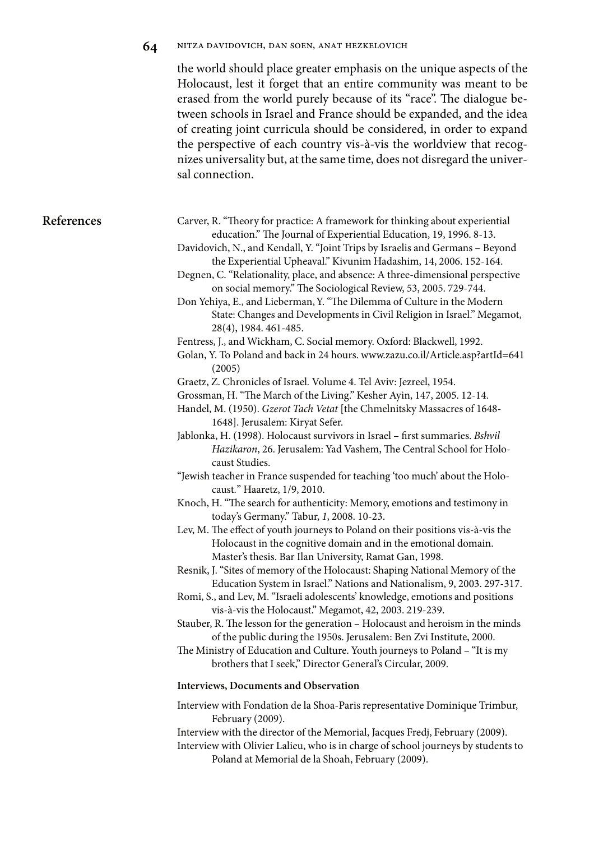|            | 64 | NITZA DAVIDOVICH, DAN SOEN, ANAT HEZKELOVICH                                                                                                                                                                                                                                                                                                                                                                                                                                                                                                                                                                                                                                                                                                                                                                                                                                                                                                                                                                                                                                                                                                                                                                                                                                                                                                                                                                                                                                                                                                                                                                                                                                                                                                                                                                                                                                                                                                                                                                                                                                                                                                                                                                                                                                                                                                                    |
|------------|----|-----------------------------------------------------------------------------------------------------------------------------------------------------------------------------------------------------------------------------------------------------------------------------------------------------------------------------------------------------------------------------------------------------------------------------------------------------------------------------------------------------------------------------------------------------------------------------------------------------------------------------------------------------------------------------------------------------------------------------------------------------------------------------------------------------------------------------------------------------------------------------------------------------------------------------------------------------------------------------------------------------------------------------------------------------------------------------------------------------------------------------------------------------------------------------------------------------------------------------------------------------------------------------------------------------------------------------------------------------------------------------------------------------------------------------------------------------------------------------------------------------------------------------------------------------------------------------------------------------------------------------------------------------------------------------------------------------------------------------------------------------------------------------------------------------------------------------------------------------------------------------------------------------------------------------------------------------------------------------------------------------------------------------------------------------------------------------------------------------------------------------------------------------------------------------------------------------------------------------------------------------------------------------------------------------------------------------------------------------------------|
|            |    | the world should place greater emphasis on the unique aspects of the<br>Holocaust, lest it forget that an entire community was meant to be<br>erased from the world purely because of its "race". The dialogue be-<br>tween schools in Israel and France should be expanded, and the idea<br>of creating joint curricula should be considered, in order to expand<br>the perspective of each country vis-à-vis the worldview that recog-<br>nizes universality but, at the same time, does not disregard the univer-<br>sal connection.                                                                                                                                                                                                                                                                                                                                                                                                                                                                                                                                                                                                                                                                                                                                                                                                                                                                                                                                                                                                                                                                                                                                                                                                                                                                                                                                                                                                                                                                                                                                                                                                                                                                                                                                                                                                                         |
| References |    | Carver, R. "Theory for practice: A framework for thinking about experiential<br>education." The Journal of Experiential Education, 19, 1996. 8-13.<br>Davidovich, N., and Kendall, Y. "Joint Trips by Israelis and Germans - Beyond<br>the Experiential Upheaval." Kivunim Hadashim, 14, 2006. 152-164.<br>Degnen, C. "Relationality, place, and absence: A three-dimensional perspective<br>on social memory." The Sociological Review, 53, 2005. 729-744.<br>Don Yehiya, E., and Lieberman, Y. "The Dilemma of Culture in the Modern<br>State: Changes and Developments in Civil Religion in Israel." Megamot,<br>28(4), 1984. 461-485.<br>Fentress, J., and Wickham, C. Social memory. Oxford: Blackwell, 1992.<br>Golan, Y. To Poland and back in 24 hours. www.zazu.co.il/Article.asp?artId=641<br>(2005)<br>Graetz, Z. Chronicles of Israel. Volume 4. Tel Aviv: Jezreel, 1954.<br>Grossman, H. "The March of the Living." Kesher Ayin, 147, 2005. 12-14.<br>Handel, M. (1950). Gzerot Tach Vetat [the Chmelnitsky Massacres of 1648-<br>1648]. Jerusalem: Kiryat Sefer.<br>Jablonka, H. (1998). Holocaust survivors in Israel - first summaries. Bshvil<br>Hazikaron, 26. Jerusalem: Yad Vashem, The Central School for Holo-<br>caust Studies.<br>"Jewish teacher in France suspended for teaching 'too much' about the Holo-<br>caust." Haaretz, 1/9, 2010.<br>Knoch, H. "The search for authenticity: Memory, emotions and testimony in<br>today's Germany." Tabur, 1, 2008. 10-23.<br>Lev, M. The effect of youth journeys to Poland on their positions vis-à-vis the<br>Holocaust in the cognitive domain and in the emotional domain.<br>Master's thesis. Bar Ilan University, Ramat Gan, 1998.<br>Resnik, J. "Sites of memory of the Holocaust: Shaping National Memory of the<br>Education System in Israel." Nations and Nationalism, 9, 2003. 297-317.<br>Romi, S., and Lev, M. "Israeli adolescents' knowledge, emotions and positions<br>vis-à-vis the Holocaust." Megamot, 42, 2003. 219-239.<br>Stauber, R. The lesson for the generation - Holocaust and heroism in the minds<br>of the public during the 1950s. Jerusalem: Ben Zvi Institute, 2000.<br>The Ministry of Education and Culture. Youth journeys to Poland - "It is my<br>brothers that I seek," Director General's Circular, 2009.<br>Interviews, Documents and Observation |
|            |    |                                                                                                                                                                                                                                                                                                                                                                                                                                                                                                                                                                                                                                                                                                                                                                                                                                                                                                                                                                                                                                                                                                                                                                                                                                                                                                                                                                                                                                                                                                                                                                                                                                                                                                                                                                                                                                                                                                                                                                                                                                                                                                                                                                                                                                                                                                                                                                 |
|            |    | Interview with Fondation de la Shoa-Paris representative Dominique Trimbur,<br>February (2009).<br>Interview with the director of the Memorial, Jacques Fredj, February (2009).<br>Interview with Olivier Lalieu, who is in charge of school journeys by students to<br>Poland at Memorial de la Shoah, February (2009).                                                                                                                                                                                                                                                                                                                                                                                                                                                                                                                                                                                                                                                                                                                                                                                                                                                                                                                                                                                                                                                                                                                                                                                                                                                                                                                                                                                                                                                                                                                                                                                                                                                                                                                                                                                                                                                                                                                                                                                                                                        |